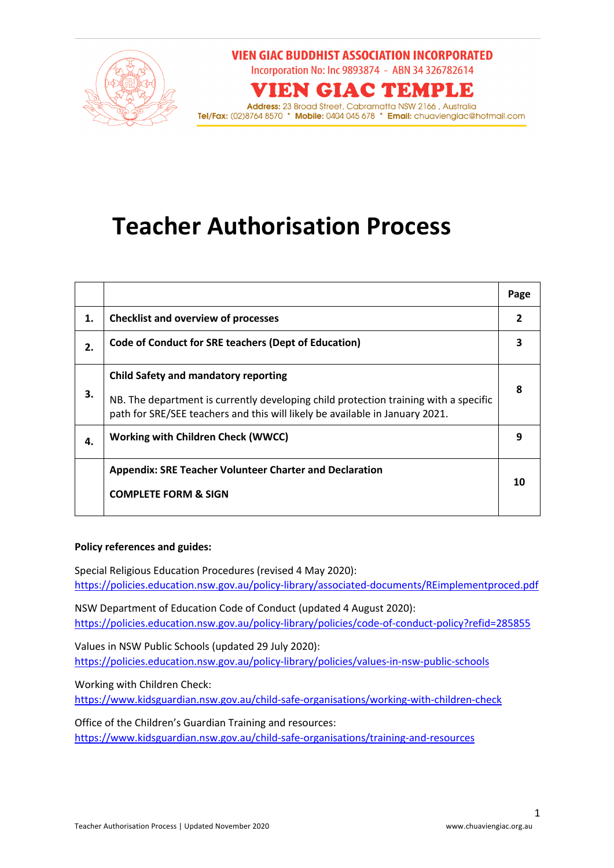

### **VIEN GIAC BUDDHIST ASSOCIATION INCORPORATED**

Incorporation No: Inc 9893874 - ABN 34 326782614

## **VIEN GIAC TEMPLE**

**Address:** 23 Broad Street, Cabramatta NSW 2166 , Australia<br>**Tel/Fax:** (02)8764 8570 \* **Mobile:** 0404 045 678 \* **Email:** chuaviengiac@hotmail.com

# **Teacher Authorisation Process**

|    |                                                                                                                                                                                                                     | Page |
|----|---------------------------------------------------------------------------------------------------------------------------------------------------------------------------------------------------------------------|------|
| 1. | <b>Checklist and overview of processes</b>                                                                                                                                                                          |      |
| 2. | <b>Code of Conduct for SRE teachers (Dept of Education)</b>                                                                                                                                                         |      |
| 3. | <b>Child Safety and mandatory reporting</b><br>NB. The department is currently developing child protection training with a specific<br>path for SRE/SEE teachers and this will likely be available in January 2021. | 8    |
| 4. | Working with Children Check (WWCC)                                                                                                                                                                                  | 9    |
|    | <b>Appendix: SRE Teacher Volunteer Charter and Declaration</b><br><b>COMPLETE FORM &amp; SIGN</b>                                                                                                                   | 10   |

#### **Policy references and guides:**

Special Religious Education Procedures (revised 4 May 2020): https://policies.education.nsw.gov.au/policy-library/associated-documents/REimplementproced.pdf

NSW Department of Education Code of Conduct (updated 4 August 2020): https://policies.education.nsw.gov.au/policy-library/policies/code-of-conduct-policy?refid=285855

Values in NSW Public Schools (updated 29 July 2020): https://policies.education.nsw.gov.au/policy-library/policies/values-in-nsw-public-schools

Working with Children Check:

https://www.kidsguardian.nsw.gov.au/child-safe-organisations/working-with-children-check

Office of the Children's Guardian Training and resources: https://www.kidsguardian.nsw.gov.au/child-safe-organisations/training-and-resources

1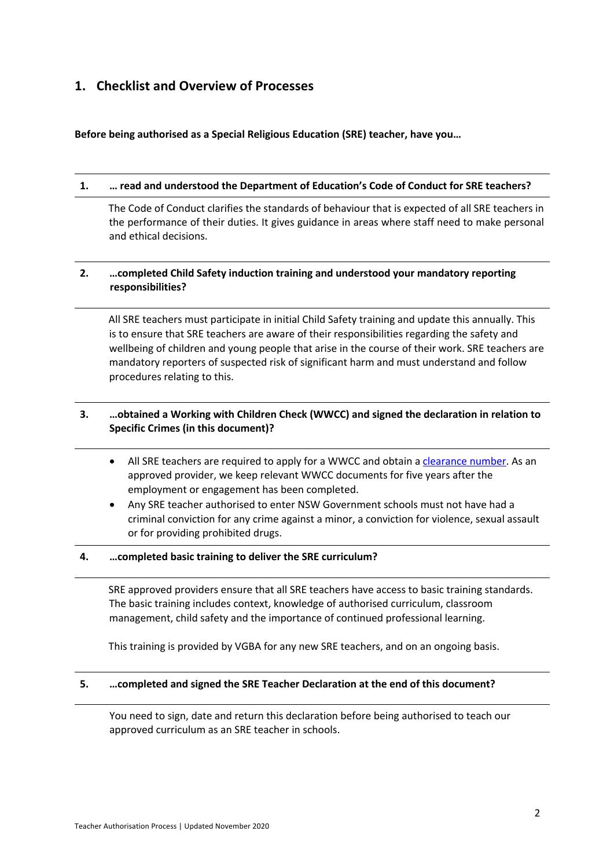## **1. Checklist and Overview of Processes**

**Before being authorised as a Special Religious Education (SRE) teacher, have you…**

#### **1. … read and understood the Department of Education's Code of Conduct for SRE teachers?**

The Code of Conduct clarifies the standards of behaviour that is expected of all SRE teachers in the performance of their duties. It gives guidance in areas where staff need to make personal and ethical decisions.

#### **2. …completed Child Safety induction training and understood your mandatory reporting responsibilities?**

All SRE teachers must participate in initial Child Safety training and update this annually. This is to ensure that SRE teachers are aware of their responsibilities regarding the safety and wellbeing of children and young people that arise in the course of their work. SRE teachers are mandatory reporters of suspected risk of significant harm and must understand and follow procedures relating to this.

#### **3. …obtained a Working with Children Check (WWCC) and signed the declaration in relation to Specific Crimes (in this document)?**

- All SRE teachers are required to apply for a WWCC and obtain a clearance number. As an approved provider, we keep relevant WWCC documents for five years after the employment or engagement has been completed.
- Any SRE teacher authorised to enter NSW Government schools must not have had a criminal conviction for any crime against a minor, a conviction for violence, sexual assault or for providing prohibited drugs.

#### **4. …completed basic training to deliver the SRE curriculum?**

SRE approved providers ensure that all SRE teachers have access to basic training standards. The basic training includes context, knowledge of authorised curriculum, classroom management, child safety and the importance of continued professional learning.

This training is provided by VGBA for any new SRE teachers, and on an ongoing basis.

#### **5. …completed and signed the SRE Teacher Declaration at the end of this document?**

You need to sign, date and return this declaration before being authorised to teach our approved curriculum as an SRE teacher in schools.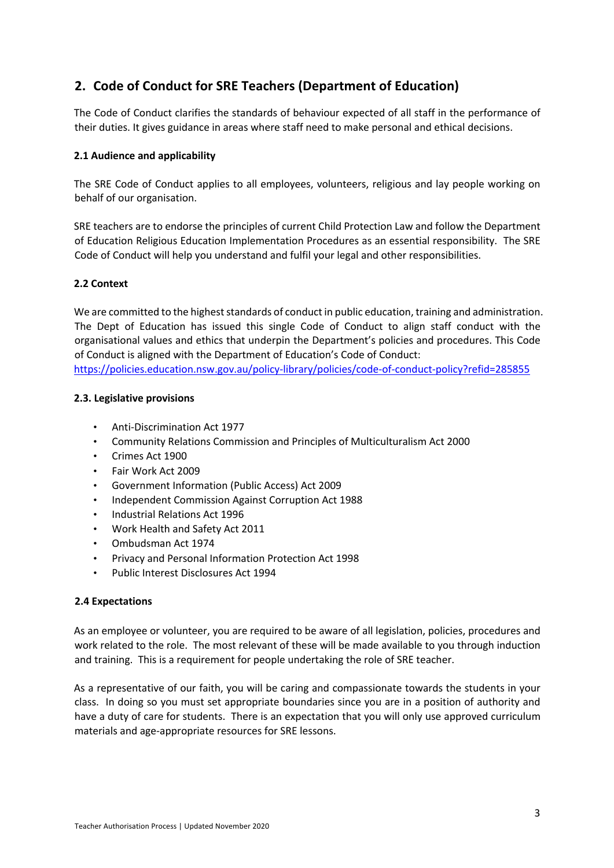## **2. Code of Conduct for SRE Teachers (Department of Education)**

The Code of Conduct clarifies the standards of behaviour expected of all staff in the performance of their duties. It gives guidance in areas where staff need to make personal and ethical decisions.

#### **2.1 Audience and applicability**

The SRE Code of Conduct applies to all employees, volunteers, religious and lay people working on behalf of our organisation.

SRE teachers are to endorse the principles of current Child Protection Law and follow the Department of Education Religious Education Implementation Procedures as an essential responsibility. The SRE Code of Conduct will help you understand and fulfil your legal and other responsibilities.

#### **2.2 Context**

We are committed to the highest standards of conduct in public education, training and administration. The Dept of Education has issued this single Code of Conduct to align staff conduct with the organisational values and ethics that underpin the Department's policies and procedures. This Code of Conduct is aligned with the Department of Education's Code of Conduct: https://policies.education.nsw.gov.au/policy-library/policies/code-of-conduct-policy?refid=285855

#### **2.3. Legislative provisions**

- Anti-Discrimination Act 1977
- Community Relations Commission and Principles of Multiculturalism Act 2000
- Crimes Act 1900
- Fair Work Act 2009
- Government Information (Public Access) Act 2009
- Independent Commission Against Corruption Act 1988
- Industrial Relations Act 1996
- Work Health and Safety Act 2011
- Ombudsman Act 1974
- Privacy and Personal Information Protection Act 1998
- Public Interest Disclosures Act 1994

#### **2.4 Expectations**

As an employee or volunteer, you are required to be aware of all legislation, policies, procedures and work related to the role. The most relevant of these will be made available to you through induction and training. This is a requirement for people undertaking the role of SRE teacher.

As a representative of our faith, you will be caring and compassionate towards the students in your class. In doing so you must set appropriate boundaries since you are in a position of authority and have a duty of care for students. There is an expectation that you will only use approved curriculum materials and age-appropriate resources for SRE lessons.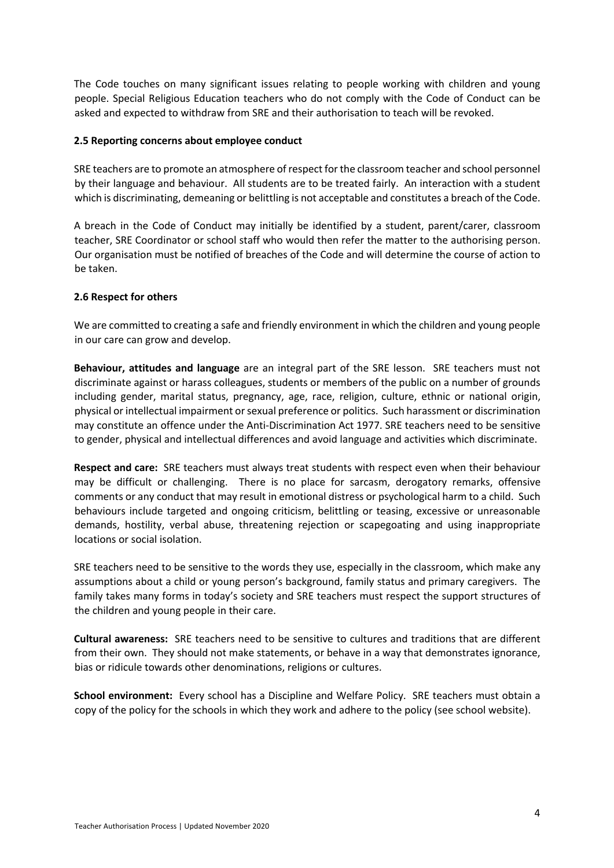The Code touches on many significant issues relating to people working with children and young people. Special Religious Education teachers who do not comply with the Code of Conduct can be asked and expected to withdraw from SRE and their authorisation to teach will be revoked.

#### **2.5 Reporting concerns about employee conduct**

SRE teachers are to promote an atmosphere of respect for the classroom teacher and school personnel by their language and behaviour. All students are to be treated fairly. An interaction with a student which is discriminating, demeaning or belittling is not acceptable and constitutes a breach of the Code.

A breach in the Code of Conduct may initially be identified by a student, parent/carer, classroom teacher, SRE Coordinator or school staff who would then refer the matter to the authorising person. Our organisation must be notified of breaches of the Code and will determine the course of action to be taken.

#### **2.6 Respect for others**

We are committed to creating a safe and friendly environment in which the children and young people in our care can grow and develop.

**Behaviour, attitudes and language** are an integral part of the SRE lesson. SRE teachers must not discriminate against or harass colleagues, students or members of the public on a number of grounds including gender, marital status, pregnancy, age, race, religion, culture, ethnic or national origin, physical or intellectual impairment or sexual preference or politics. Such harassment or discrimination may constitute an offence under the Anti-Discrimination Act 1977. SRE teachers need to be sensitive to gender, physical and intellectual differences and avoid language and activities which discriminate.

**Respect and care:** SRE teachers must always treat students with respect even when their behaviour may be difficult or challenging. There is no place for sarcasm, derogatory remarks, offensive comments or any conduct that may result in emotional distress or psychological harm to a child. Such behaviours include targeted and ongoing criticism, belittling or teasing, excessive or unreasonable demands, hostility, verbal abuse, threatening rejection or scapegoating and using inappropriate locations or social isolation.

SRE teachers need to be sensitive to the words they use, especially in the classroom, which make any assumptions about a child or young person's background, family status and primary caregivers. The family takes many forms in today's society and SRE teachers must respect the support structures of the children and young people in their care.

**Cultural awareness:** SRE teachers need to be sensitive to cultures and traditions that are different from their own. They should not make statements, or behave in a way that demonstrates ignorance, bias or ridicule towards other denominations, religions or cultures.

**School environment:** Every school has a Discipline and Welfare Policy. SRE teachers must obtain a copy of the policy for the schools in which they work and adhere to the policy (see school website).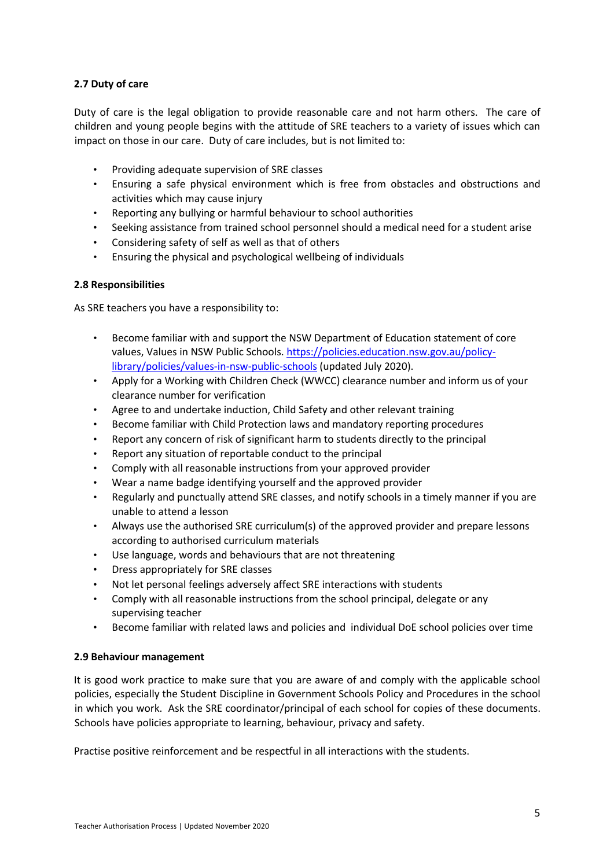#### **2.7 Duty of care**

Duty of care is the legal obligation to provide reasonable care and not harm others. The care of children and young people begins with the attitude of SRE teachers to a variety of issues which can impact on those in our care. Duty of care includes, but is not limited to:

- Providing adequate supervision of SRE classes
- Ensuring a safe physical environment which is free from obstacles and obstructions and activities which may cause injury
- Reporting any bullying or harmful behaviour to school authorities
- Seeking assistance from trained school personnel should a medical need for a student arise
- Considering safety of self as well as that of others
- Ensuring the physical and psychological wellbeing of individuals

#### **2.8 Responsibilities**

As SRE teachers you have a responsibility to:

- Become familiar with and support the NSW Department of Education statement of core values, Values in NSW Public Schools. https://policies.education.nsw.gov.au/policylibrary/policies/values-in-nsw-public-schools (updated July 2020).
- Apply for a Working with Children Check (WWCC) clearance number and inform us of your clearance number for verification
- Agree to and undertake induction, Child Safety and other relevant training
- Become familiar with Child Protection laws and mandatory reporting procedures
- Report any concern of risk of significant harm to students directly to the principal
- Report any situation of reportable conduct to the principal
- Comply with all reasonable instructions from your approved provider
- Wear a name badge identifying yourself and the approved provider
- Regularly and punctually attend SRE classes, and notify schools in a timely manner if you are unable to attend a lesson
- Always use the authorised SRE curriculum(s) of the approved provider and prepare lessons according to authorised curriculum materials
- Use language, words and behaviours that are not threatening
- Dress appropriately for SRE classes
- Not let personal feelings adversely affect SRE interactions with students
- Comply with all reasonable instructions from the school principal, delegate or any supervising teacher
- Become familiar with related laws and policies and individual DoE school policies over time

#### **2.9 Behaviour management**

It is good work practice to make sure that you are aware of and comply with the applicable school policies, especially the Student Discipline in Government Schools Policy and Procedures in the school in which you work. Ask the SRE coordinator/principal of each school for copies of these documents. Schools have policies appropriate to learning, behaviour, privacy and safety.

Practise positive reinforcement and be respectful in all interactions with the students.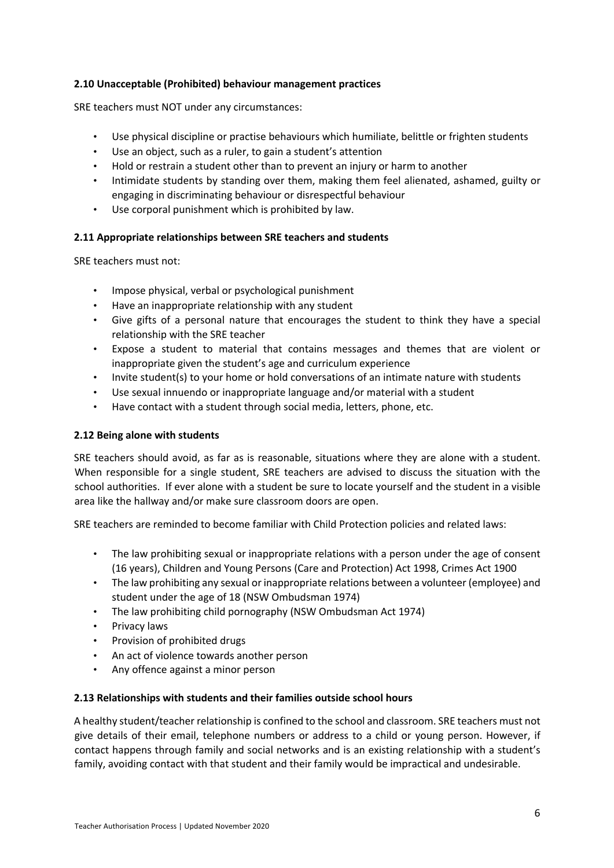#### **2.10 Unacceptable (Prohibited) behaviour management practices**

SRE teachers must NOT under any circumstances:

- Use physical discipline or practise behaviours which humiliate, belittle or frighten students
- Use an object, such as a ruler, to gain a student's attention
- Hold or restrain a student other than to prevent an injury or harm to another
- Intimidate students by standing over them, making them feel alienated, ashamed, guilty or engaging in discriminating behaviour or disrespectful behaviour
- Use corporal punishment which is prohibited by law.

#### **2.11 Appropriate relationships between SRE teachers and students**

SRE teachers must not:

- Impose physical, verbal or psychological punishment
- Have an inappropriate relationship with any student
- Give gifts of a personal nature that encourages the student to think they have a special relationship with the SRE teacher
- Expose a student to material that contains messages and themes that are violent or inappropriate given the student's age and curriculum experience
- Invite student(s) to your home or hold conversations of an intimate nature with students
- Use sexual innuendo or inappropriate language and/or material with a student
- Have contact with a student through social media, letters, phone, etc.

#### **2.12 Being alone with students**

SRE teachers should avoid, as far as is reasonable, situations where they are alone with a student. When responsible for a single student, SRE teachers are advised to discuss the situation with the school authorities. If ever alone with a student be sure to locate yourself and the student in a visible area like the hallway and/or make sure classroom doors are open.

SRE teachers are reminded to become familiar with Child Protection policies and related laws:

- The law prohibiting sexual or inappropriate relations with a person under the age of consent (16 years), Children and Young Persons (Care and Protection) Act 1998, Crimes Act 1900
- The law prohibiting any sexual or inappropriate relations between a volunteer (employee) and student under the age of 18 (NSW Ombudsman 1974)
- The law prohibiting child pornography (NSW Ombudsman Act 1974)
- Privacy laws
- Provision of prohibited drugs
- An act of violence towards another person
- Any offence against a minor person

#### **2.13 Relationships with students and their families outside school hours**

A healthy student/teacher relationship is confined to the school and classroom. SRE teachers must not give details of their email, telephone numbers or address to a child or young person. However, if contact happens through family and social networks and is an existing relationship with a student's family, avoiding contact with that student and their family would be impractical and undesirable.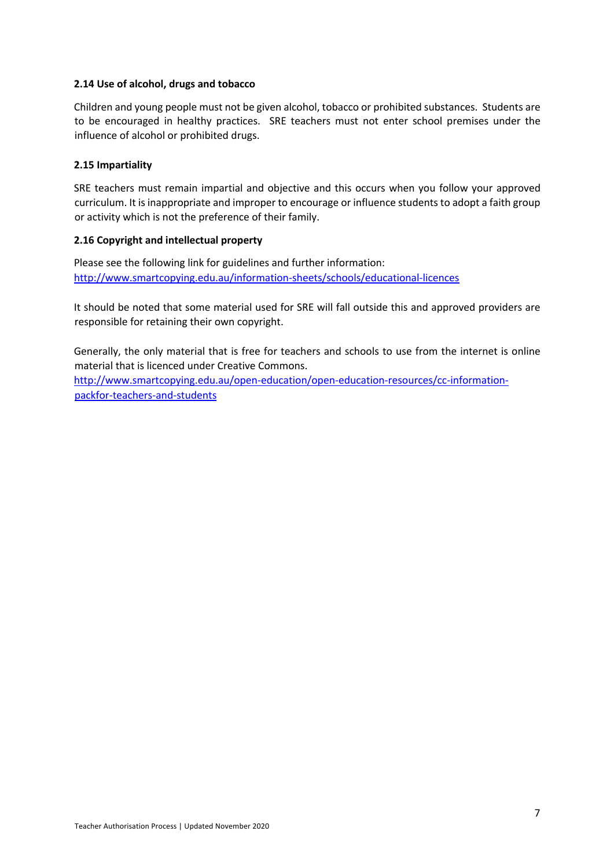#### **2.14 Use of alcohol, drugs and tobacco**

Children and young people must not be given alcohol, tobacco or prohibited substances. Students are to be encouraged in healthy practices. SRE teachers must not enter school premises under the influence of alcohol or prohibited drugs.

#### **2.15 Impartiality**

SRE teachers must remain impartial and objective and this occurs when you follow your approved curriculum. It is inappropriate and improper to encourage or influence students to adopt a faith group or activity which is not the preference of their family.

#### **2.16 Copyright and intellectual property**

Please see the following link for guidelines and further information: http://www.smartcopying.edu.au/information-sheets/schools/educational-licences

It should be noted that some material used for SRE will fall outside this and approved providers are responsible for retaining their own copyright.

Generally, the only material that is free for teachers and schools to use from the internet is online material that is licenced under Creative Commons.

http://www.smartcopying.edu.au/open-education/open-education-resources/cc-informationpackfor-teachers-and-students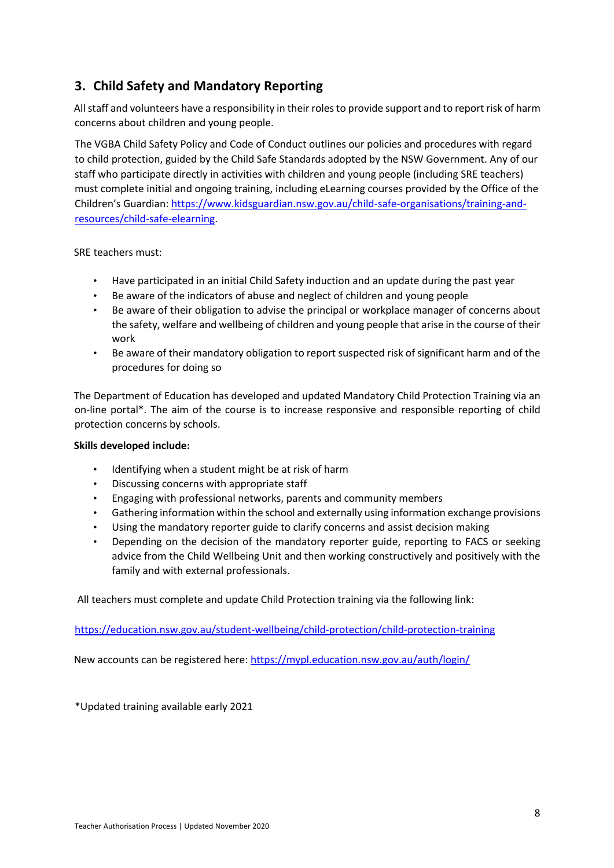## **3. Child Safety and Mandatory Reporting**

All staff and volunteers have a responsibility in their roles to provide support and to report risk of harm concerns about children and young people.

The VGBA Child Safety Policy and Code of Conduct outlines our policies and procedures with regard to child protection, guided by the Child Safe Standards adopted by the NSW Government. Any of our staff who participate directly in activities with children and young people (including SRE teachers) must complete initial and ongoing training, including eLearning courses provided by the Office of the Children's Guardian: https://www.kidsguardian.nsw.gov.au/child-safe-organisations/training-andresources/child-safe-elearning.

SRE teachers must:

- Have participated in an initial Child Safety induction and an update during the past year
- Be aware of the indicators of abuse and neglect of children and young people
- Be aware of their obligation to advise the principal or workplace manager of concerns about the safety, welfare and wellbeing of children and young people that arise in the course of their work
- Be aware of their mandatory obligation to report suspected risk of significant harm and of the procedures for doing so

The Department of Education has developed and updated Mandatory Child Protection Training via an on-line portal\*. The aim of the course is to increase responsive and responsible reporting of child protection concerns by schools.

#### **Skills developed include:**

- Identifying when a student might be at risk of harm
- Discussing concerns with appropriate staff
- Engaging with professional networks, parents and community members
- Gathering information within the school and externally using information exchange provisions
- Using the mandatory reporter guide to clarify concerns and assist decision making
- Depending on the decision of the mandatory reporter guide, reporting to FACS or seeking advice from the Child Wellbeing Unit and then working constructively and positively with the family and with external professionals.

All teachers must complete and update Child Protection training via the following link:

https://education.nsw.gov.au/student-wellbeing/child-protection/child-protection-training

New accounts can be registered here: https://mypl.education.nsw.gov.au/auth/login/

\*Updated training available early 2021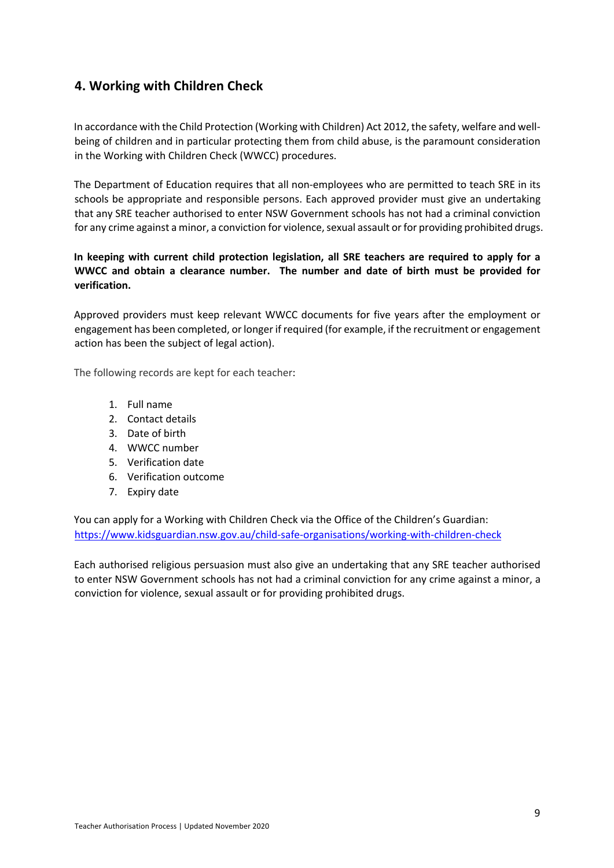## **4. Working with Children Check**

In accordance with the Child Protection (Working with Children) Act 2012, the safety, welfare and wellbeing of children and in particular protecting them from child abuse, is the paramount consideration in the Working with Children Check (WWCC) procedures.

The Department of Education requires that all non-employees who are permitted to teach SRE in its schools be appropriate and responsible persons. Each approved provider must give an undertaking that any SRE teacher authorised to enter NSW Government schools has not had a criminal conviction for any crime against a minor, a conviction for violence, sexual assault or for providing prohibited drugs.

#### **In keeping with current child protection legislation, all SRE teachers are required to apply for a WWCC and obtain a clearance number. The number and date of birth must be provided for verification.**

Approved providers must keep relevant WWCC documents for five years after the employment or engagement has been completed, or longer if required (for example, if the recruitment or engagement action has been the subject of legal action).

The following records are kept for each teacher:

- 1. Full name
- 2. Contact details
- 3. Date of birth
- 4. WWCC number
- 5. Verification date
- 6. Verification outcome
- 7. Expiry date

You can apply for a Working with Children Check via the Office of the Children's Guardian: https://www.kidsguardian.nsw.gov.au/child-safe-organisations/working-with-children-check

Each authorised religious persuasion must also give an undertaking that any SRE teacher authorised to enter NSW Government schools has not had a criminal conviction for any crime against a minor, a conviction for violence, sexual assault or for providing prohibited drugs.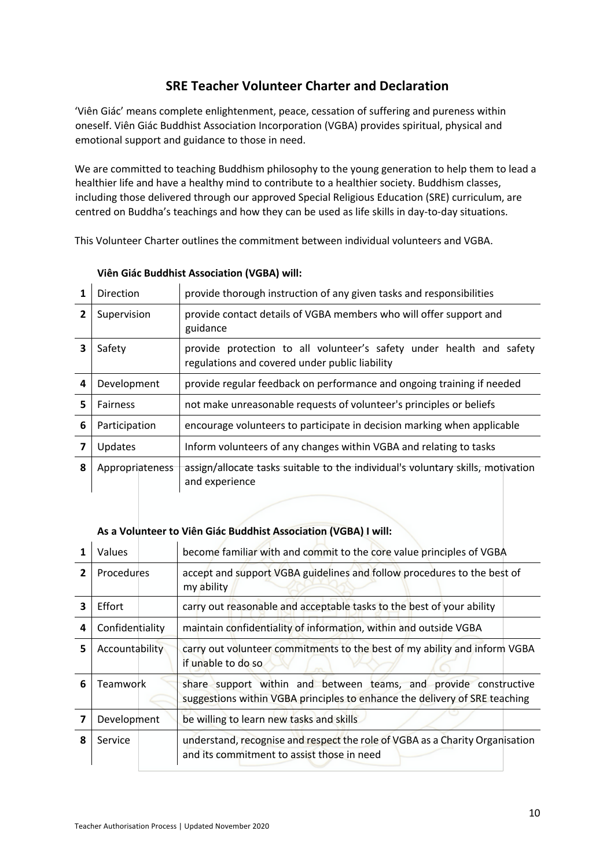## **SRE Teacher Volunteer Charter and Declaration**

'Viên Giác' means complete enlightenment, peace, cessation of suffering and pureness within oneself. Viên Giác Buddhist Association Incorporation (VGBA) provides spiritual, physical and emotional support and guidance to those in need.

We are committed to teaching Buddhism philosophy to the young generation to help them to lead a healthier life and have a healthy mind to contribute to a healthier society. Buddhism classes, including those delivered through our approved Special Religious Education (SRE) curriculum, are centred on Buddha's teachings and how they can be used as life skills in day-to-day situations.

This Volunteer Charter outlines the commitment between individual volunteers and VGBA.

| 1           | <b>Direction</b>                                                                                                     | provide thorough instruction of any given tasks and responsibilities                                                   |  |  |
|-------------|----------------------------------------------------------------------------------------------------------------------|------------------------------------------------------------------------------------------------------------------------|--|--|
|             | provide contact details of VGBA members who will offer support and<br>Supervision<br>guidance                        |                                                                                                                        |  |  |
| Safety<br>3 |                                                                                                                      | provide protection to all volunteer's safety under health and safety<br>regulations and covered under public liability |  |  |
| 4           | Development                                                                                                          | provide regular feedback on performance and ongoing training if needed                                                 |  |  |
| 5           | <b>Fairness</b>                                                                                                      | not make unreasonable requests of volunteer's principles or beliefs                                                    |  |  |
| 6           | Participation                                                                                                        | encourage volunteers to participate in decision marking when applicable                                                |  |  |
|             | Updates                                                                                                              | Inform volunteers of any changes within VGBA and relating to tasks                                                     |  |  |
| 8           | assign/allocate tasks suitable to the individual's voluntary skills, motivation<br>Appropriateness<br>and experience |                                                                                                                        |  |  |

#### **Viên Giác Buddhist Association (VGBA) will:**

#### **As a Volunteer to Viên Giác Buddhist Association (VGBA) I will:**

|   | Values          | become familiar with and commit to the core value principles of VGBA                                                                           |
|---|-----------------|------------------------------------------------------------------------------------------------------------------------------------------------|
| 2 | Procedures      | accept and support VGBA guidelines and follow procedures to the best of<br>my ability                                                          |
| 3 | Effort          | carry out reasonable and acceptable tasks to the best of your ability                                                                          |
| 4 | Confidentiality | maintain confidentiality of information, within and outside VGBA                                                                               |
| 5 | Accountability  | carry out volunteer commitments to the best of my ability and inform VGBA<br>if unable to do so                                                |
| 6 | <b>Teamwork</b> | share support within and between teams, and provide constructive<br>suggestions within VGBA principles to enhance the delivery of SRE teaching |
| 7 | Development     | be willing to learn new tasks and skills                                                                                                       |
| 8 | Service         | understand, recognise and respect the role of VGBA as a Charity Organisation<br>and its commitment to assist those in need                     |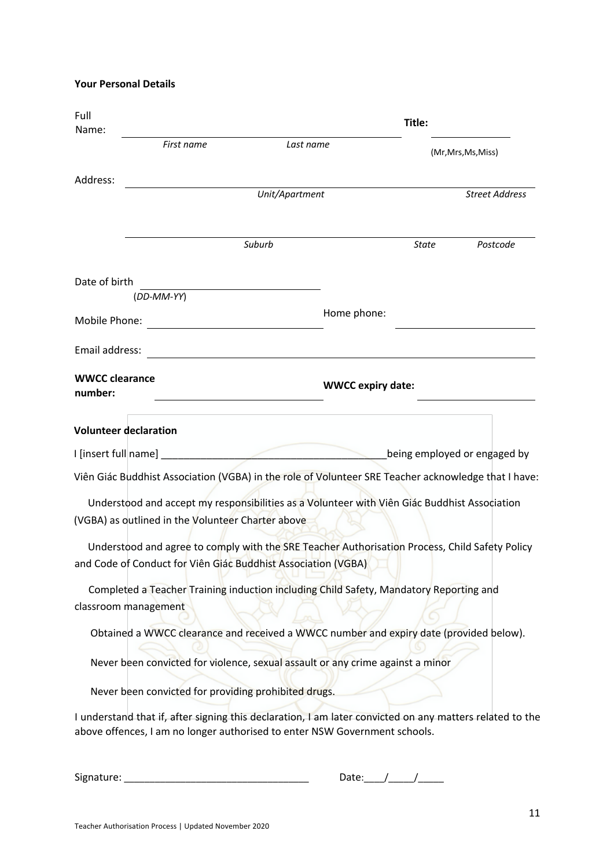**Your Personal Details**

| Full<br>Name:                    |                                                      | Title:                                                                                                                                                                                 |            |                              |  |
|----------------------------------|------------------------------------------------------|----------------------------------------------------------------------------------------------------------------------------------------------------------------------------------------|------------|------------------------------|--|
|                                  | First name<br>Last name                              |                                                                                                                                                                                        |            | (Mr, Mrs, Ms, Miss)          |  |
| Address:                         |                                                      |                                                                                                                                                                                        |            | <b>Street Address</b>        |  |
|                                  | Unit/Apartment                                       |                                                                                                                                                                                        |            |                              |  |
|                                  |                                                      | Suburb                                                                                                                                                                                 | State      | Postcode                     |  |
| Date of birth                    | (DD-MM-YY)                                           |                                                                                                                                                                                        |            |                              |  |
| Mobile Phone:                    |                                                      | Home phone:                                                                                                                                                                            |            |                              |  |
| Email address:                   |                                                      |                                                                                                                                                                                        |            |                              |  |
| <b>WWCC clearance</b><br>number: |                                                      | <b>WWCC expiry date:</b>                                                                                                                                                               |            |                              |  |
|                                  | <b>Volunteer declaration</b>                         |                                                                                                                                                                                        |            |                              |  |
|                                  |                                                      |                                                                                                                                                                                        |            | being employed or engaged by |  |
|                                  |                                                      | Viên Giác Buddhist Association (VGBA) in the role of Volunteer SRE Teacher acknowledge that I have:                                                                                    |            |                              |  |
|                                  | (VGBA) as outlined in the Volunteer Charter above    | Understood and accept my responsibilities as a Volunteer with Viên Giác Buddhist Association                                                                                           |            |                              |  |
|                                  |                                                      | Understood and agree to comply with the SRE Teacher Authorisation Process, Child Safety Policy<br>and Code of Conduct for Viên Giác Buddhist Association (VGBA)                        |            |                              |  |
|                                  |                                                      | Completed a Teacher Training induction including Child Safety, Mandatory Reporting and                                                                                                 |            |                              |  |
|                                  | classroom management                                 |                                                                                                                                                                                        |            |                              |  |
|                                  |                                                      | Obtained a WWCC clearance and received a WWCC number and expiry date (provided below).                                                                                                 |            |                              |  |
|                                  |                                                      | Never been convicted for violence, sexual assault or any crime against a minor                                                                                                         |            |                              |  |
|                                  | Never been convicted for providing prohibited drugs. |                                                                                                                                                                                        |            |                              |  |
|                                  |                                                      | I understand that if, after signing this declaration, I am later convicted on any matters related to the<br>above offences, I am no longer authorised to enter NSW Government schools. |            |                              |  |
|                                  |                                                      |                                                                                                                                                                                        | Date: $1/$ |                              |  |